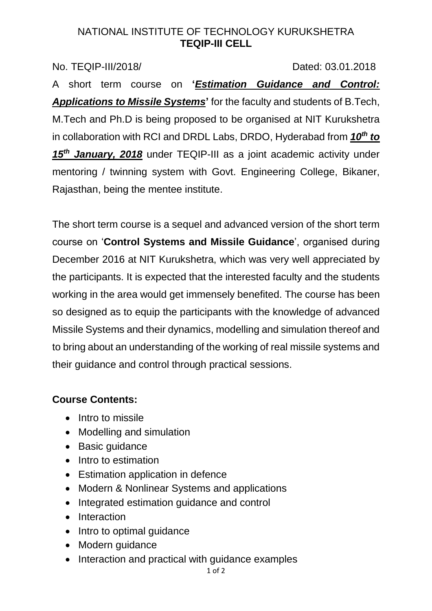#### NATIONAL INSTITUTE OF TECHNOLOGY KURUKSHETRA **TEQIP-III CELL**

No. TEQIP-III/2018/ Dated: 03.01.2018

A short term course on **'***Estimation Guidance and Control: Applications to Missile Systems***'** for the faculty and students of B.Tech, M.Tech and Ph.D is being proposed to be organised at NIT Kurukshetra in collaboration with RCI and DRDL Labs, DRDO, Hyderabad from *10 th to 15th January, 2018* under TEQIP-III as a joint academic activity under mentoring / twinning system with Govt. Engineering College, Bikaner, Rajasthan, being the mentee institute.

The short term course is a sequel and advanced version of the short term course on '**Control Systems and Missile Guidance**', organised during December 2016 at NIT Kurukshetra, which was very well appreciated by the participants. It is expected that the interested faculty and the students working in the area would get immensely benefited. The course has been so designed as to equip the participants with the knowledge of advanced Missile Systems and their dynamics, modelling and simulation thereof and to bring about an understanding of the working of real missile systems and their guidance and control through practical sessions.

# **Course Contents:**

- Intro to missile
- Modelling and simulation
- Basic quidance
- Intro to estimation
- Estimation application in defence
- Modern & Nonlinear Systems and applications
- Integrated estimation guidance and control
- Interaction
- Intro to optimal quidance
- Modern quidance
- Interaction and practical with quidance examples